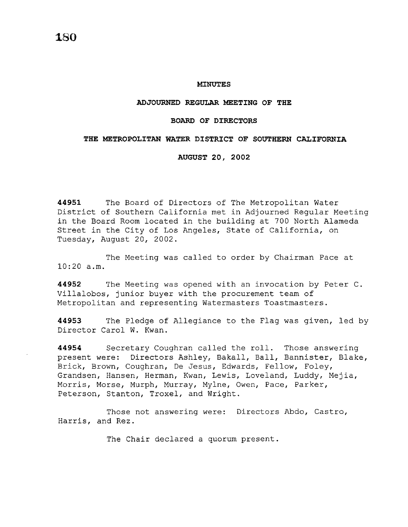#### **MINUTES**

### **ADJOURNED REGULAR MEETING OF THE**

### **BOARD OF DIRECTORS**

### **THE METROPOLITAN WATER DISTRICT OF SOUTHERN CALIFORNIA**

**AUGUST 20, 2002** 

**44951** The Board of Directors of The Metropolitan Water District of Southern California met in Adjourned Regular Meeting in the Board Room located in the building at 700 North Alameda Street in the City of Los Angeles, State of California, on Tuesday, August 20, 2002.

The Meeting was called to order by Chairman Pace at 10:20 a.m.

**44952** The Meeting was opened with an invocation by Peter C. Villalobos, junior buyer with the procurement team of Metropolitan and representing Watermasters Toastmasters.

**44953** The Pledge of Allegiance to the Flag was given, led by Director Carol W. Kwan.

**44954** Secretary Coughran called the roll. Those answering present were: Directors Ashley, Bakall, Ball, Bannister, Blake, Brick, Brown, Coughran, De Jesus, Edwards, Fellow, Foley, Grandsen, Hansen, Herman, Kwan, Lewis, Loveland, Luddy, Mejia, Morris, Morse, Murph, Murray, Mylne, Owen, Pace, Parker, Peterson, Stanton, Troxel, and Wright.

Those not answering were: Directors Abdo, Castro, Harris, and Rez.

The Chair declared a quorum present.

**180**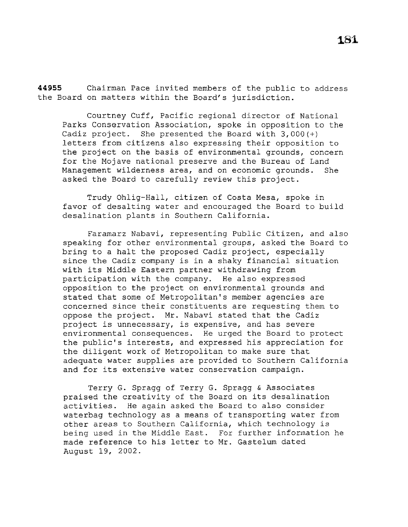**44955** Chairman Pace invited members of the public to address the Board on matters within the Board's jurisdiction.

Courtney Cuff, Pacific regional director of National Parks Conservation Association, spoke in opposition to the Cadiz project. She presented the Board with 3,000(+) letters from citizens also expressing their opposition to the project on the basis of environmental grounds, concern for the Mojave national preserve and the Bureau of Land Management wilderness area, and on economic grounds. She asked the Board to carefully review this project.

Trudy Ohlig-Hall, citizen of Costa Mesa, spoke in favor of desalting water and encouraged the Board to build desalination plants in Southern California.

Faramarz Nabavi, representing Public Citizen, and also speaking for other environmental groups, asked the Board to bring to a halt the proposed Cadiz project, especially since the Cadiz company is in a shaky financial situation with its Middle Eastern partner withdrawing from participation with the company. He also expressed opposition to the project on environmental grounds and stated that some of Metropolitan's member agencies are concerned since their constituents are requesting them to oppose the project. Mr. Nabavi stated that the Cadiz project is unnecessary, is expensive, and has severe environmental consequences. He urged the Board to protect the public's interests, and expressed his appreciation for the diligent work of Metropolitan to make sure that adequate water supplies are provided to Southern California and for its extensive water conservation campaign.

Terry G. Spragg of Terry G. Spragg & Associates praised the creativity of the Board on its desalination activities. He again asked the Board to also consider waterbag technology as a means of transporting water from other areas to Southern California, which technology is being used in the Middle East. For further information he made reference to his letter to Mr. Gastelum dated August 19, 2002.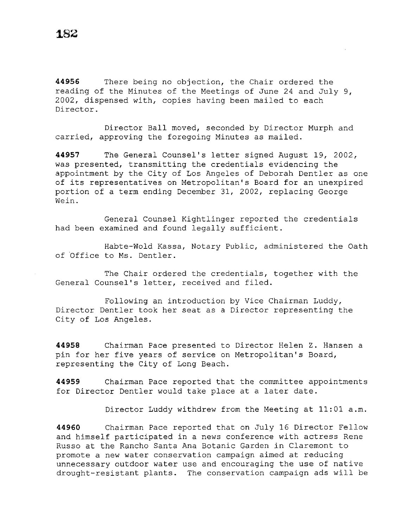**44956** There being no objection, the Chair ordered the reading of the Minutes of the Meetings of June 24 and July 9, 2002, dispensed with, copies having been mailed to each Director.

Director Ball moved, seconded by Director Murph and carried, approving the foregoing Minutes as mailed.

**44957** The General Counsel's letter signed August 19, 2002, was presented, transmitting the credentials evidencing the appointment by the City of Los Angeles of Deborah Dentler as one of its representatives on Metropolitan's Board for an unexpired portion of a term ending December 31, 2002, replacing George Wein.

General Counsel Kightlinger reported the credentials had been examined and found legally sufficient.

Habte-Wold Kassa, Notary Public, administered the Oath of bffice to Ms. Dentler.

The Chair ordered the credentials, together with the General Counsel's letter, received and filed.

Following an introduction by Vice Chairman Luddy, Director Dentler took her seat as a Director representing the City of Los Angeles.

**44958** Chairman Pace presented to Director Helen Z. Hansen a pin for her five years of service on Metropolitan's Board, representing the City of Long Beach.

**44959** Chairman Pace reported that the committee appointments for Director Dentler would take place at a later date.

Director Luddy withdrew from the Meeting at 11:01 a.m.

**44960** Chairman Pace reported that on July 16 Director Fellow and himself participated in a news conference with actress Rene Russo at the Rancho Santa Ana Botanic Garden in Claremont to promote a new water conservation campaign aimed at reducing unnecessary outdoor water use and encouraging the use of native drought-resistant plants. The conservation campaign ads will be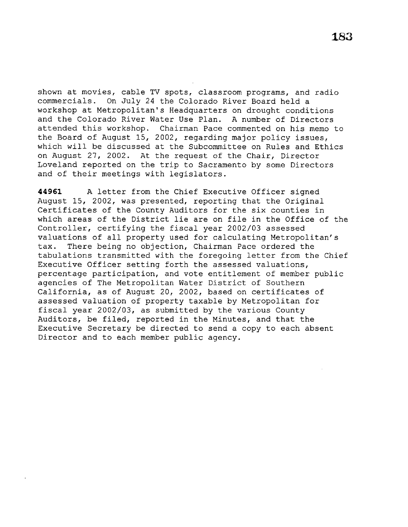shown at movies, cable TV spots, classroom programs, and radio commercials. On July 24 the Colorado River Board held a workshop at Metropolitan's Headquarters on drought conditions and the Colorado River Water Use Plan. A number of Directors attended this workshop. Chairman Pace commented on his memo to the Board of August 15, 2002, regarding major policy issues, which will be discussed at the Subcommittee on Rules and Ethics on August 27, 2002. At the request of the Chair, Director Loveland reported on the trip to Sacramento by some Directors and of their meetings with legislators.

**44961** A letter from the Chief Executive Officer signed August 15, 2002, was presented, reporting that the Original Certificates of the County Auditors for the six counties in which areas of the District lie are on file in the Office of the Controller, certifying the fiscal year 2002/03 assessed valuations of all property used for calculating Metropolitan's tax. There being no objection, Chairman Pace ordered the tabulations transmitted with the foregoing letter from the Chief Executive Officer setting forth the assessed valuations, percentage participation, and vote entitlement of member public agencies of The Metropolitan Water District of Southern California, as of August 20, 2002, based on certificates of assessed valuation of property taxable by Metropolitan for fiscal year 2002/03, as submitted by the various County Auditors, be filed, reported in the Minutes, and that the Executive Secretary be directed to send a copy to each absent Director and to each member public agency.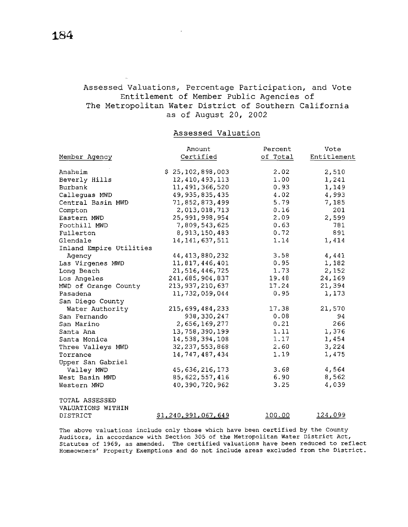# Assessed Valuations, Percentage Participation, and Vote Entitlement of Member Public Agencies of The Metropolitan Water District of Southern California as of August 20, 2002

# Assessed Valuation

|                         | Amount              | Percent  | Vote           |
|-------------------------|---------------------|----------|----------------|
| Member Agency           | Certified           | of Total | Entitlement    |
|                         |                     |          |                |
| Anaheim                 | \$25,102,898,003    | 2.02     | 2,510          |
| Beverly Hills           | 12, 410, 493, 113   | 1.00     | 1,241          |
| Burbank                 | 11,491,366,520      | 0.93     | 1,149          |
| Calleguas MWD           | 49, 935, 835, 435   | 4.02     | 4,993          |
| Central Basin MWD       | 71,852,873,499      | 5.79     | 7,185          |
| Compton                 | 2,013,018,713       | 0.16     | 201            |
| Eastern MWD             | 25, 991, 998, 954   | 2.09     | 2,599          |
| Foothill MWD            | 7,809,543,625       | 0.63     | 781            |
| Fullerton               | 8, 913, 150, 483    | 0.72     | 891            |
| Glendale                | 14, 141, 637, 511   | 1.14     | 1,414          |
| Inland Empire Utilities |                     |          |                |
| Agency                  | 44, 413, 880, 232   | 3.58     | 4,441          |
| Las Virgenes MWD        | 11,817,446,401      | 0.95     | 1,182          |
| Long Beach              | 21, 516, 446, 725   | 1.73     | 2,152          |
| Los Angeles             | 241,685,904,837     | 19.48    | 24,169         |
| MWD of Orange County    | 213, 937, 210, 637  | 17.24    | 21,394         |
| Pasadena                | 11,732,059,044      | 0.95     | 1,173          |
| San Diego County        |                     |          |                |
| Water Authority         | 215,699,484,233     | 17.38    | 21,570         |
| San Fernando            | 938, 330, 247       | 0.08     | 94             |
| San Marino              | 2,656,169,277       | 0.21     | 266            |
| Santa Ana               | 13,758,390,199      | 1.11     | 1,376          |
| Santa Monica            | 14,538,394,108      | 1.17     | 1,454          |
| Three Valleys MWD       | 32, 237, 553, 868   | 2.60     | 3,224          |
| Torrance                | 14, 747, 487, 434   | 1.19     | 1,475          |
| Upper San Gabriel       |                     |          |                |
| Valley MWD              | 45, 636, 216, 173   | 3.68     | 4,564          |
| West Basin MWD          | 85, 622, 557, 416   | 6.90     | 8,562          |
| Western MWD             | 40,390,720,962      | 3.25     | 4,039          |
| TOTAL ASSESSED          |                     |          |                |
| VALUATIONS WITHIN       |                     |          |                |
| DISTRICT                | \$1,240,991,067,649 | 100.00   | <u>124,099</u> |

The above valuations include only those which have been certified by the County Auditors, in accordance with Section 305 of the Metropolitan Water District Act, Statutes of 1969, as amended. The certified valuations have been reduced to reflect Homeowners' Property Exemptions and do not include areas excluded from the District.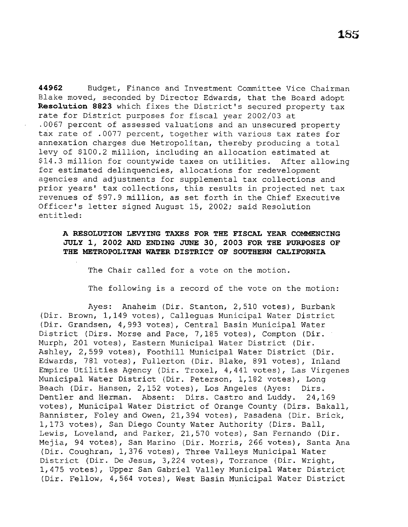**44962** Budget, Finance and Investment Committee Vice Chairman Blake moved, seconded by Director Edwards, that the Board adopt **Resolution 8823** which fixes the District's secured property tax rate for District purposes for fiscal year 2002/03 at .0067 percent of assessed valuations and an unsecured property tax rate of .0077 percent, together with various tax rates for annexation charges due Metropolitan, thereby producing a total levy of \$100.2 million, including an allocation estimated at \$14.3 million for countywide taxes on utilities. After allowing for estimated delinquencies, allocations for redevelopment agencies and adjustments for supplemental tax collections and prior years' tax collections, this results in projected net tax revenues of \$97.9 million, as set forth in the Chief Executive Officer's letter signed August 15, 2002; said Resolution entitled:

# **A RESOLUTION LEVYING TAXES FOR THE FISCAL YEAR COMMENCING JULY 1, 2002 AND ENDING JUNE 30, 2003 FOR THE PURPOSES OF THE METROPOLITAN WATER DISTRICT OF SOUTHERN CALIFORNIA**

The Chair called for a vote on the motion.

The following is a record of the vote on the motion:

Ayes: Anaheim (Dir. Stanton, 2,510 votes), Burbank (Dir. Brown, 1,149 votes), Calleguas Municipal Water District (Dir. Grandsen, 4,993 votes), Central Basin Municipal Water District (Dirs. Morse and Pace, 7,185 votes), Compton (Dir. Murph, 201 votes), Eastern Municipal Water District (Dir. Ashley, 2,599 votes), Foothill Municipal Water District (Dir. Edwards, 781 votes), Fullerton (Dir. Blake, 891 votes), Inland Empire Utilities Agency (Dir. Troxel, 4,441 votes), Las Virgenes Municipal Water District (Dir. Peterson, 1,182 votes), Long Beach (Dir. Hansen, 2,152 votes), Los Angeles (Ayes: Dirs. Dentler and Herman. Absent: Dirs. Castro and Luddy. 24,169 votes), Municipal Water District of Orange County (Dirs. Bakall, Bannister, Foley and Owen, 21,394 votes), Pasadena (Dir. Brick, 1,173 votes), San Diego County Water Authority (Dirs. Ball, Lewis, Loveland, and Parker, 21,570 votes), San Fernando (Dir. Mejia, 94 votes), San Marino (Dir. Morris, 266 votes), Santa Ana (Dir. Coughran, 1,376 votes), Three Valleys Municipal Water District (Dir. De Jesus, 3,224 votes), Torrance (Dir. Wright, 1,475 votes), Upper San Gabriel Valley Municipal Water District (Dir. Fellow, 4,564 votes), West Basin Municipal Water District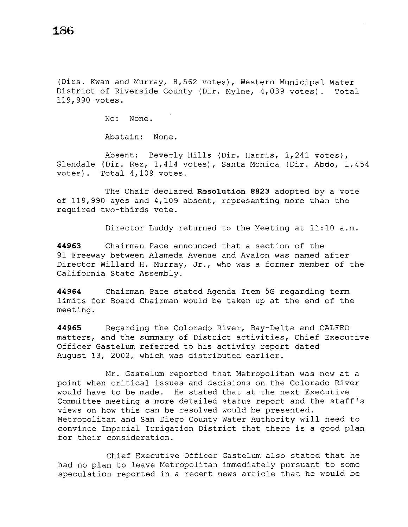(Dirs. Kwan and Murray, 8,562 votes), Western Municipal Water District of Riverside County (Dir. Mylne, 4,039 votes). Total 119,990 votes.

No: None.

Abstain: None.

Absent: Beverly Hills (Dir. Harris, 1,241 votes), Glendale (Dir. Rez, 1,414 votes), Santa Monica (Dir. Abdo, 1,454 votes). Total 4,109 votes.

The Chair declared **Reso1ution 8823** adopted by a vote of 119,990 ayes and 4,109 absent, representing more than the required two-thirds vote.

Director Luddy returned to the Meeting at 11:10 a.m.

**44963** Chairman Pace announced that a section of the 91 Freeway between Alameda Avenue and Avalon was named after Director Willard H. Murray, Jr., who was a former member of the California State Assembly.

**44964** Chairman Pace stated Agenda Item 5G regarding term limits for Board Chairman would be taken up at the end of the meeting.

**44965** Regarding the Colorado River, Bay-Delta and CALFED matters, and the summary of District activities, Chief Executive Officer Gastelum referred to his activity report dated August 13, 2002, which was distributed earlier.

Mr. Gastelum reported that Metropolitan was now at a point when critical issues and decisions on the Colorado River would have to be made. He stated that at the next Executive Committee meeting a more detailed status report and the staff's views on how this can be resolved would be presented. Metropolitan and San Diego County Water Authority will need to convince Imperial Irrigation District that there is a good plan for their consideration.

Chief Executive Officer Gastelum also stated that he had no plan to leave Metropolitan immediately pursuant to some speculation reported in a recent news article that he would be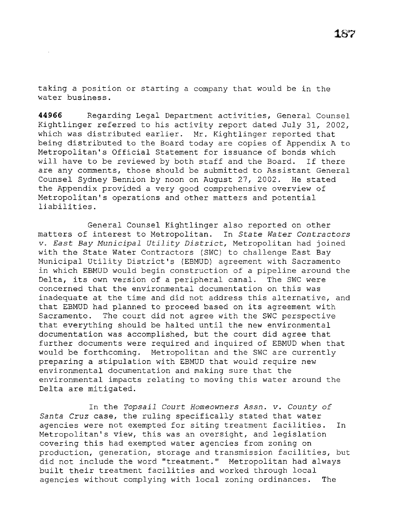taking a position or starting a company that would be in the water business.

**44966** Regarding Legal Department activities, General Counsel Kightlinger referred to his activity report dated July 31, 2002, which was distributed earlier. Mr. Kightlinger reported that being distributed to the Board today are copies of Appendix A to Metropolitan's Official Statement for issuance of bonds which will have to be reviewed by both staff and the Board. If there are any comments, those should be submitted to Assistant General Counsel Sydney Bennion by noon on August 27, 2002. He stated the Appendix provided a very good comprehensive overview of Metropolitan's operations and other matters and potential liabilities.

General Counsel Kightlinger also reported on other matters of interest to Metropolitan. In *State Water Contractors v. East Bay Municipal Utility District,* Metropolitan had joined with the State Water Contractors (SWC) to challenge East Bay Municipal Utility District's (EBMUD) agreement with Sacramento in which EBMUD would begin construction of a pipeline around the Delta, its own version of a peripheral canal. The SWC were concerned that the environmental documentation on this was inadequate at the time and did not address this alternative, and that EBMUD had planned to proceed based on its agreement with Sacramento. The court did not agree with the SWC perspective that everything should be halted until the new environmental documentation was accomplished, but the court did agree that further documents were required and inquired of EBMUD when that would be forthcoming. Metropolitan and the SWC are currently preparing a stipulation with EBMUD that would require new environmental documentation and making sure that the environmental impacts relating to moving this water around the Delta are mitigated.

In the *Topsail Court Homeowners Assn. v. County of Santa Cruz* case, the ruling specifically stated that water agencies were not exempted for siting treatment facilities. In Metropolitan's view, this was an oversight, and legislation covering this had exempted water agencies from zoning on production, generation, storage and transmission facilities, but did not include the word ''treatment.'' Metropolitan had always built their treatment facilities and worked through local agencies without complying with local zoning ordinances. The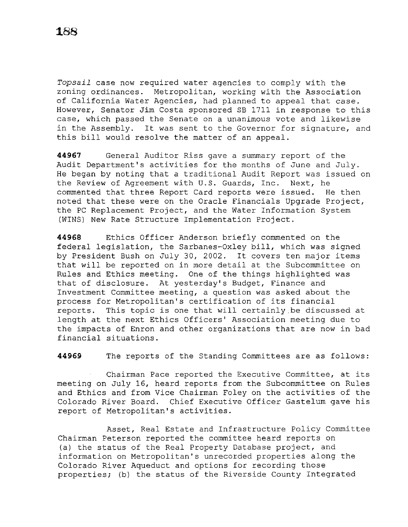*Topsail* case now required water agencies to comply with the zoning ordinances. Metropolitan, working with the Association of California Water Agencies, had planned to appeal that case. However, Senator Jim Costa sponsored SB 1711 in response to this case, which passed the Senate on a unanimous vote and likewise in the Assembly. It was sent to the Governor for signature, and this bill would resolve the matter of an appeal.

**44967** General Auditor Riss gave a summary report of the Audit Department's activities for the months of June and July. He began by noting that a traditional Audit Report was issued on the Review of Agreement with U.S. Guards, Inc. Next, he commented that three Report Card reports were issued. He then noted that these were on the Oracle Financials Upgrade Project, the PC Replacement Project, and the Water Information System (WINS) New Rate Structure Implementation Project.

**44968** Ethics Officer Anderson briefly commented on the federal legislation, the Sarbanes-Oxley bill, which was signed by President Bush on July 30, 2002. It covers ten major items that will be reported on in more detail at the Subcommittee on Rules and Ethics meeting. One of the things highlighted was that of disclosure. At yesterday's Budget, Finance and Investment Committee meeting, a question was asked about the process for Metropolitan's certification of its financial reports. This topic is one that will certainly be discussed at length at the next Ethics Officers' Association meeting due to the impacts of Enron and other organizations that are now in bad financial situations.

**44969** The reports of the Standing Committees are as follows:

Chairman Pace reported the Executive Committee, at its meeting on July 16, heard reports from the Subcommittee on Rules and Ethics and from Vice Chairman Foley on the activities of the Colorado River Board. Chief Executive Officer Gastelum gave his report of Metropolitan's activities.

Asset, Real Estate and Infrastructure Policy Committee Chairman Peterson reported the committee heard reports on (a) the status of the Real Property Database project, and information on Metropolitan's unrecorded properties along the Colorado River Aqueduct and options for recording those properties; (b) the status of the Riverside County Integrated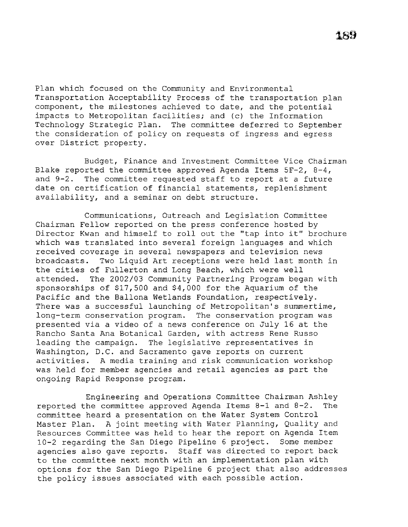Plan which focused on the Community and Environmental Transportation Acceptability Process of the transportation plan component, the milestones achieved to date, and the potential impacts to Metropolitan facilities; and (c) the Information Technology Strategic Plan. The committee deferred to September the consideration of policy on requests of ingress and egress over District property.

Budget, Finance and Investment Committee Vice Chairman Blake reported the committee approved Agenda Items SF-2, 8-4, and 9-2. The committee requested staff to report at a future date on certification of financial statements, replenishment availability, and a seminar on debt structure.

Communications, Outreach and Legislation Committee Chairman Fellow reported on the press conference hosted by Director Kwan and himself to roll out the "tap into it" brochure which was translated into several foreign languages and which received coverage in several newspapers and television news broadcasts. Two Liquid Art receptions were held last month in the cities of Fullerton and Long Beach, which were well attended. The 2002/03 Community Partnering Program began with sponsorships of \$17,500 and \$4,000 for the Aquarium of the Pacific and the Ballona Wetlands Foundation, respectively. There was a successful launching of Metropolitan's summertime, long-term conservation program. The conservation program was presented via a video of a news conference on July 16 at the Rancho Santa Ana Botanical Garden, with actress Rene Russo leading the campaign. The legislative representatives in Washington, D.C. and Sacramento gave reports on current activities. A media training and risk communication workshop was held for member agencies and retail agencies as part the ongoing Rapid Response program.

Engineering and Operations Committee Chairman Ashley reported the committee approved Agenda Items 8-1 and 8-2. The committee heard a presentation on the Water System Control Master Plan. A joint meeting with Water Planning, Quality and Resources Committee was held to hear the report on Agenda Item 10-2 regarding the San Diego Pipeline 6 project. Some member agencies also gave reports. Staff was directed to report back to the committee next month with an implementation plan with options for the San Diego Pipeline 6 project that also addresses the policy issues associated with each possible action.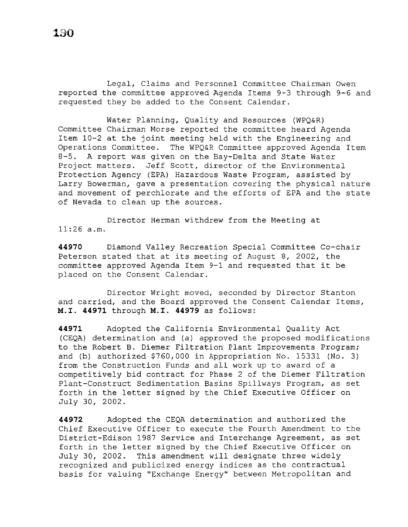Legal, Claims and Personnel Committee Chairman Owen reported the committee approved Agenda Items 9-3 through 9-6 and requested they be added to the Consent Calendar.

Water Planning, Quality and Resources (WPQ&R) Committee Chairman Morse reported the committee heard Agenda Item 10-2 at the joint meeting held with the Engineering and Operations Committee. The WPQ&R Committee approved Agenda Item 8-5. A report was given on the Bay-Delta and State Water Project matters. Jeff Scott, director of the Environmental Protection Agency (EPA) Hazardous Waste Program, assisted by Larry Bowerman, gave a presentation covering the physical nature and movement of perchlorate and the efforts of EPA and the state of Nevada to clean up the sources.

Director Herman withdrew from the Meeting at 11:26 a.m.

**44970** Diamond Valley Recreation Special Committee Co-chair Peterson stated that at its meeting of August 8, 2002, the committee approved Agenda Item 9-1 and requested that it be placed on the Consent Calendar.

Director Wright moved, seconded by Director Stanton and carried, and the Board approved the Consent Calendar Items, **M.I. 44971** through M.I. **44979** as follows:

**44971** Adopted the California Environmental Quality Act (CEQA) determination and (a) approved the proposed modifications to the Robert B. Diemer Filtration Plant Improvements Program; and (b) authorized \$760,000 in Appropriation No. 15331 (No. 3) from the Construction Funds and all work up to award of a competitively bid contract for Phase 2 of the Diemer Filtration Plant-Construct Sedimentation Basins Spillways Program, as set forth in the letter signed by the Chief Executive Officer on July 30, 2002.

**44972** Adopted the CEQA determination and authorized the Chief Executive Officer to execute the Fourth Amendment to the District-Edison 1987 Service and Interchange Agreement, as set forth in the letter signed by the Chief Executive Officer on July 30, 2002. This amendment will designate three widely recognized and publicized energy indices as the contractual basis for valuing ''Exchange Energy'' between Metropolitan and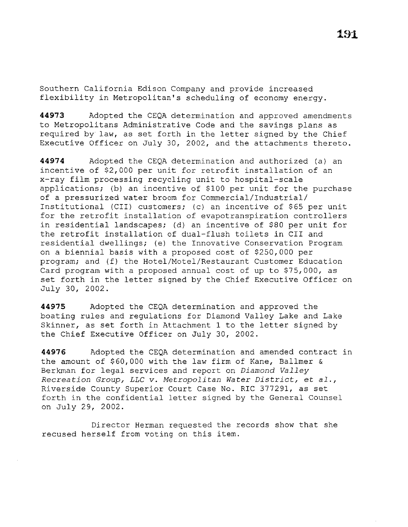Southern California Edison Company and provide increased flexibility in Metropolitan's scheduling of economy energy.

**44973** Adopted the CEQA determination and approved amendments to Metropolitans Administrative Code and the savings plans as required by law, as set forth in the letter signed by the Chief Executive Officer on July 30, 2002, and the attachments thereto.

**44974** Adopted the CEQA determination and authorized (a) an incentive of \$2,000 per unit for retrofit installation of an x-ray film processing recycling unit to hospital-scale applications; (b) an incentive of \$100 per unit for the purchase of a pressurized water broom for Commercial/Industrial/ Institutional (CII) customers; (c) an incentive of \$65 per unit for the retrofit installation of evapotranspiration controllers in residential landscapes; (d) an incentive of \$80 per unit for the retrofit installation of dual-flush toilets in CII and residential dwellings; (e) the Innovative Conservation Program on a biennial basis with a proposed cost of \$250,000 per program; and (f) the Hotel/Motel/Restaurant Customer Education Card program with a proposed annual cost of up to \$75,000, as set forth in the letter signed by the Chief Executive Officer on July 30, 2002.

**44975** Adopted the CEQA determination and approved the boating rules and regulations for Diamond Valley Lake and Lake Skinner, as set forth in Attachment 1 to the letter signed by the Chief Executive Officer on July 30, 2002.

**44976** Adopted the CEQA determination and amended contract in the amount of \$60,000 with the law firm of Kane, Ballmer & Berkman for legal services and report on *Diamond Valley Recreation Group, LLC v. Metropolitan Water District,* et *al.,*  Riverside County Superior Court Case No. RIC 377291, as set forth in the confidential letter signed by the General Counsel on July 29, 2002.

Director Herman requested the records show that she recused herself from voting on this item.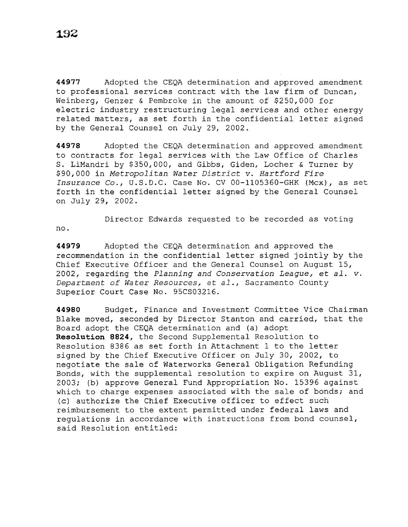**44977** Adopted the CEQA determination and approved amendment to professional services contract with the law firm of Duncan, Weinberg, Genzer & Pembroke in the amount of \$250,000 for electric industry restructuring legal services and other energy related matters, as set forth in the confidential letter signed by the General Counsel on July 29, 2002.

**44978** Adopted the CEQA determination and approved amendment to contracts for legal services with the Law Office of Charles S. LiMandri by \$350,000, and Gibbs, Giden, Locher & Turner by \$90,000 in *Metropolitan Water District v. Hartford Fire Insurance* Co., U.S.D.C. Case No. CV 00-1105360-GHK (Mcx), as set forth in the confidential letter signed by the General Counsel on July 29, 2002.

Director Edwards requested to be recorded as voting no.

**44979** Adopted the CEQA determination and approved the recommendation in the confidential letter signed jointly by the Chief Executive Officer and the General Counsel on August 15, 2002, regarding the *Planning and Conservation League,* et *al. v. Department of Water Resources, et al.,* **Sacramento County**  Superior Court Case No. 95CS03216.

**44980** Budget, Finance and Investment Committee Vice Chairman Blake moved, seconded by Director Stanton and carried, that the Board adopt the CEQA determination and (a) adopt **Resolution 8824,** the Second Supplemental Resolution to Resolution 8386 as set forth in Attachment 1 to the letter signed by the Chief Executive Officer on July 30, 2002, to negotiate the sale of Waterworks General Obligation Refunding Bonds, with the supplemental resolution to expire on August 31, 2003; (b) approve General Fund Appropriation No. 15396 against which to charge expenses associated with the sale of bonds; and (c) authorize the Chief Executive officer to effect such reimbursement to the extent permitted under federal laws and regulations in accordance with instructions from bond counsel, said Resolution entitled: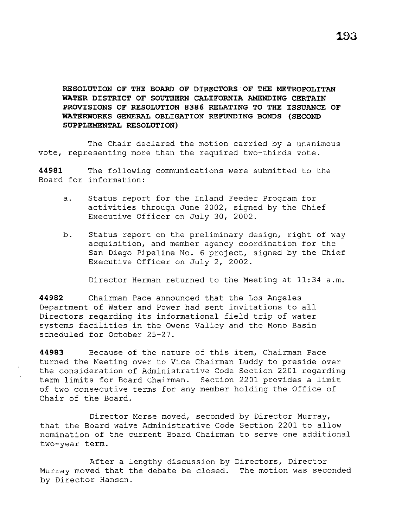# **RESOLUTION OF THE BOARD OF DIRECTORS OF THE METROPOLITAN WATER DISTRICT OF SOUTHERN CALIFORNIA AMENDING CERTAIN PROVISIONS OF RESOLUTION 8386 RELATING TO THE ISSUANCE OF WATERWORKS GENERAL OBLIGATION REFUNDING BONDS {SECOND SUPPLEMENTAL RESOLUTION)**

The Chair declared the motion carried by a unanimous vote, representing more than the required two-thirds vote.

**44981** The following communications were submitted to the Board for information:

- a. Status report for the Inland Feeder Program for activities through June 2002, signed by the Chief Executive Officer on July 30, 2002.
- b. Status report on the preliminary design, right of way acquisition, and member agency coordination for the San Diego Pipeline No. 6 project, signed by the Chief Executive Officer on July 2, 2002.

Director Herman returned to the Meeting at 11:34 a.m.

**44982** Chairman Pace announced that the Los Angeles Department of Water and Power had sent invitations to all Directors regarding its informational field trip of water systems facilities in the Owens Valley and the Mono Basin scheduled for October 25-27.

**44983** Because of the nature of this item, Chairman Pace turned the Meeting over to Vice Chairman Luddy to preside over the consideration of Administrative Code Section 2201 regarding term limits for Board Chairman. Section 2201 provides a limit of two consecutive terms for any member holding the Office of Chair of the Board.

Director Morse moved, seconded by Director Murray, that the Board waive Administrative Code Section 2201 to allow nomination of the current Board Chairman to serve one additional two-year term.

After a lengthy discussion by Directors, Director Murray moved that the debate be closed. The motion was seconded by Director Hansen.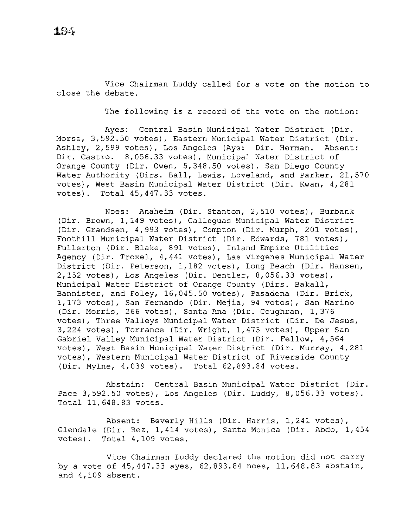Vice Chairman Luddy called for a vote on the motion to close the debate.

The following is a record of the vote on the motion:

Ayes: Central Basin Municipal Water District (Dir. Morse, 3,592.50 votes), Eastern Municipal Water District (Dir. Ashley, 2,599 votes), Los Angeles (Aye: Dir. Herman. Absent: Dir. Castro. 8,056.33 votes), Municipal Water District of Orange County (Dir. Owen, 5,348.50 votes), San Diego County Water Authority (Dirs. Ball, Lewis, Loveland, and Parker, 21,570 votes), West Basin Municipal Water District (Dir. Kwan, 4,281 votes). Total 45,447.33 votes.

Noes: Anaheim (Dir. Stanton, 2,510 votes), Burbank (Dir. Brown, 1,149 votes), Calleguas Municipal Water District (Dir. Grandsen, 4,993 votes), Compton (Dir. Murph, 201 votes), Foothill Municipal Water District (Dir. Edwards, 781 votes), Fullerton (Dir. Blake, 891 votes), Inland Empire Utilities Agency (Dir. Troxel, 4,441 votes), Las Virgenes Municipal Water District (Dir. Peterson, 1,182 votes), Long Beach (Dir. Hansen, 2,152 votes), Los Angeles (Dir. Dentler, 8,056.33 votes), Municipal Water District of Orange County (Dirs. Bakall, Bannister, and Foley, 16,045.50 votes), Pasadena (Dir. Brick, 1,173 votes), San Fernando (Dir. Mejia, 94 votes), San Marino (Dir. Morris, 266 votes), Santa Ana (Dir. Coughran, 1,376 votes), Three Valleys Municipal Water District (Dir. De Jesus, 3,224 votes), Torrance (Dir. Wright, 1,475 votes), Upper San Gabriel Valley Municipal Water District (Dir. Fellow, 4,564 votes), West Basin Municipal Water District (Dir. Murray, 4,281 votes), Western Municipal Water District of Riverside County (Dir. Mylne, 4,039 votes). Total 62,893.84 votes.

Abstain: Central Basin Municipal Water District (Dir. Pace 3,592.50 votes), Los Angeles (Dir. Luddy, 8,056.33 votes). Total 11,648.83 votes.

Absent: Beverly Hills (Dir. Harris, 1,241 votes), Glendale (Dir. Rez, 1,414 votes), Santa Monica (Dir. Abdo, 1,454 votes). Total 4,109 votes.

Vice Chairman Luddy declared the motion did not carry by a vote of 45,447.33 ayes, 62,893.84 noes, 11,648.83 abstain, and 4,109 absent.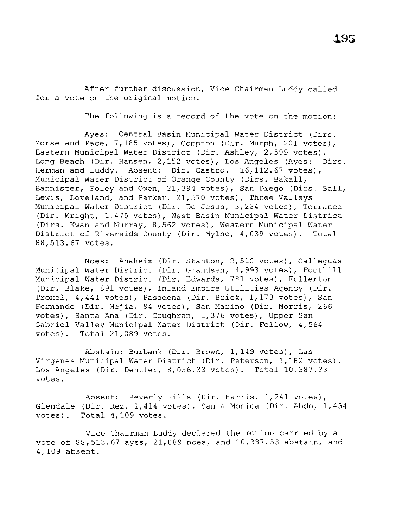After further discussion, Vice Chairman Luddy called for a vote on the original motion.

The following is a record of the vote on the motion:

Ayes: Central Basin Municipal Water District (Dirs. Morse and Pace, 7,185 votes), Compton (Dir. Murph, 201 votes), Eastern Municipal Water District (Dir. Ashley, 2,599 votes), Long Beach (Dir. Hansen, 2,152 votes), Los Angeles (Ayes: Dirs. Herman and Luddy. Absent: Dir. Castro. 16,112.67 votes), Municipal Water District of Orange County (Dirs. Bakall, Bannister, Foley and Owen, 21,394 votes), San Diego (Dirs. Ball, Lewis, Loveland, and Parker, 21,570 votes), Three Valleys Municipal Water District (Dir. De Jesus, 3,224 votes), Torrance (Dir. Wright, 1,475 votes), West Basin Municipal Water District (Dirs. Kwan and Murray, 8,562 votes), Western Municipal Water District of Riverside County (Dir. Mylne, 4,039 votes). Total 88,513.67 votes.

Noes: Anaheim (Dir. Stanton, 2,510 votes), Calleguas Municipal Water District (Dir. Grandsen, 4,993 votes), Foothill Municipal Water District (Dir. Edwards, 781 votes), Fullerton (Dir. Blake, 891 votes), Inland Empire Utilities Agency (Dir. Troxel, 4,441 votes), Pasadena (Dir. Brick, 1,173 votes), San Fernando (Dir. Mejia, 94 votes), San Marino (Dir. Morris, 266 votes), Santa Ana (Dir. Coughran, 1,376 votes), Upper San Gabriel Valley Municipal Water District (Dir. Fellow, 4,564 votes). Total 21,089 votes.

Abstain: Burbank (Dir. Brown, 1,149 votes), Las Virgenes Municipal Water District (Dir. Peterson, 1,182 votes), Los Angeles (Dir. Dentler, 8,056.33 votes). Total 10,387.33 votes.

Absent: Beverly Hills (Dir. Harris, 1,241 votes), Glendale (Dir. Rez, 1,414 votes), Santa Monica (Dir. Abdo, 1,454 votes). Total 4,109 votes.

Vice Chairman Luddy declared the motion carried by a vote of 88,513.67 ayes, 21,089 noes, and 10,387.33 abstain, and 4,109 absent.